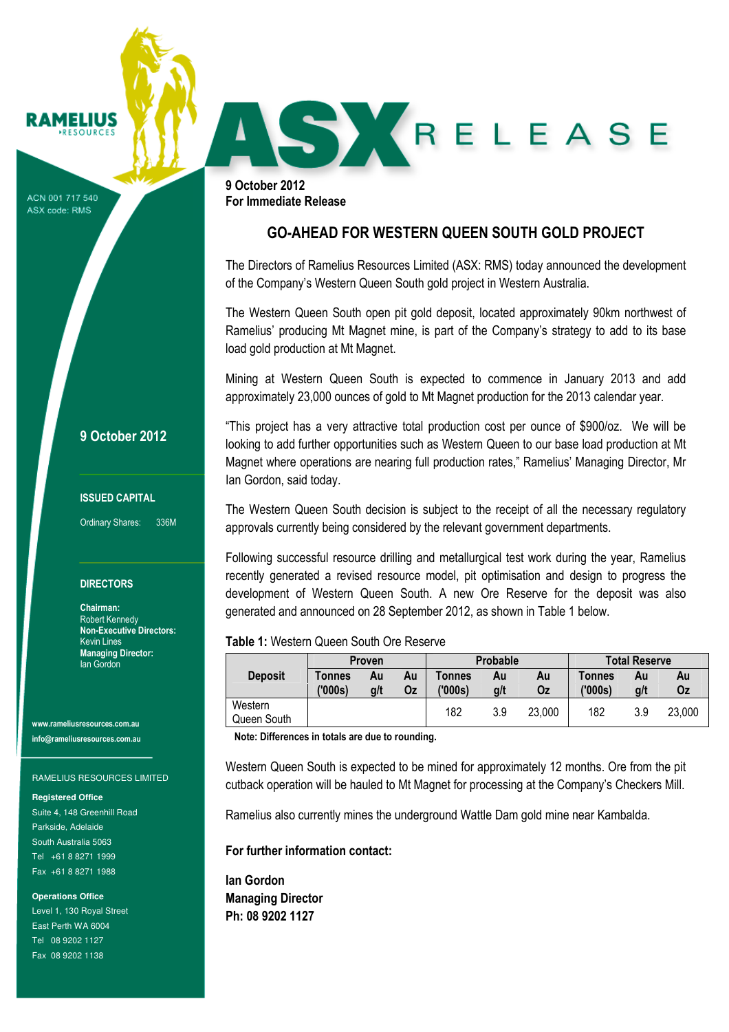# RAMELIUS

ACN 001 717 540 ASX code: RMS

9 October 2012 For Immediate Release

# GO-AHEAD FOR WESTERN QUEEN SOUTH GOLD PROJECT

SKRELEASE

The Directors of Ramelius Resources Limited (ASX: RMS) today announced the development of the Company's Western Queen South gold project in Western Australia.

The Western Queen South open pit gold deposit, located approximately 90km northwest of Ramelius' producing Mt Magnet mine, is part of the Company's strategy to add to its base load gold production at Mt Magnet.

Mining at Western Queen South is expected to commence in January 2013 and add approximately 23,000 ounces of gold to Mt Magnet production for the 2013 calendar year.

"This project has a very attractive total production cost per ounce of \$900/oz. We will be looking to add further opportunities such as Western Queen to our base load production at Mt Magnet where operations are nearing full production rates," Ramelius' Managing Director, Mr Ian Gordon, said today.

The Western Queen South decision is subject to the receipt of all the necessary regulatory approvals currently being considered by the relevant government departments.

Following successful resource drilling and metallurgical test work during the year, Ramelius recently generated a revised resource model, pit optimisation and design to progress the development of Western Queen South. A new Ore Reserve for the deposit was also generated and announced on 28 September 2012, as shown in Table 1 below.

# Table 1: Western Queen South Ore Reserve

| <b>Deposit</b>         | <b>Proven</b>     |           |          | Probable          |           |          | <b>Total Reserve</b> |           |          |
|------------------------|-------------------|-----------|----------|-------------------|-----------|----------|----------------------|-----------|----------|
|                        | Tonnes<br>('000s) | Au<br>g/t | Au<br>Oz | Tonnes<br>('000s) | Au<br>g/t | Au<br>Οz | Tonnes<br>('000s)    | Au<br>g/t | Au<br>Οz |
| Western<br>Queen South |                   |           |          | 182               | 3.9       | 23,000   | 182                  | 3.9       | 23,000   |

Note: Differences in totals are due to rounding.

Western Queen South is expected to be mined for approximately 12 months. Ore from the pit cutback operation will be hauled to Mt Magnet for processing at the Company's Checkers Mill.

Ramelius also currently mines the underground Wattle Dam gold mine near Kambalda.

For further information contact:

Ian Gordon Managing Director Ph: 08 9202 1127

9 October 2012

## ISSUED CAPITAL

Ordinary Shares: 336M

### **DIRECTORS**

Chairman: Robert Kennedy Non-Executive Directors: Kevin Lines Managing Director: Ian Gordon

www.rameliusresources.com.au info@rameliusresources.com.au

#### RAMELIUS RESOURCES LIMITED

### **Registered Office**

Suite 4, 148 Greenhill Road Parkside, Adelaide South Australia 5063 Tel +61 8 8271 1999 Fax +61 8 8271 1988

#### **Operations Office**

Level 1, 130 Royal Street East Perth WA 6004 Tel 08 9202 1127 Fax 08 9202 1138